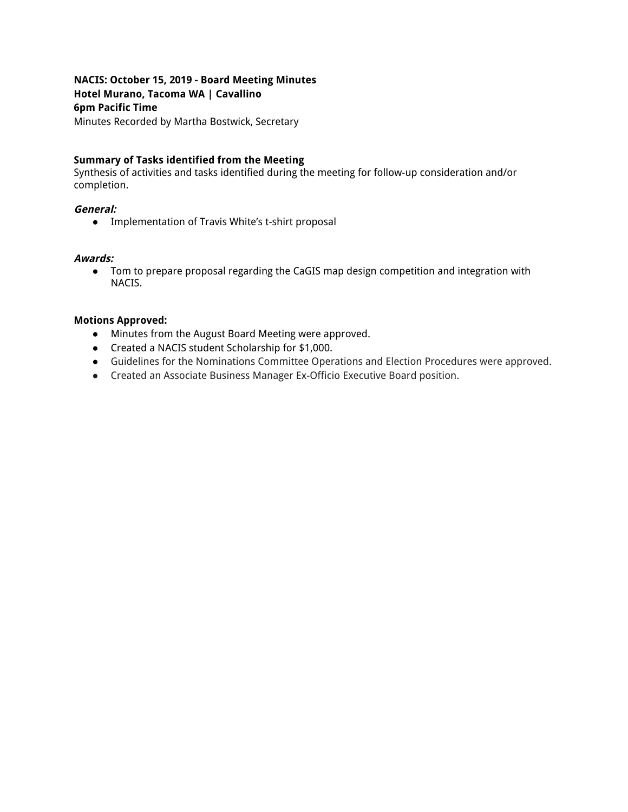# **NACIS: October 15, 2019 - Board Meeting Minutes Hotel Murano, Tacoma WA | Cavallino 6pm Pacific Time**

Minutes Recorded by Martha Bostwick, Secretary

## **Summary of Tasks identified from the Meeting**

Synthesis of activities and tasks identified during the meeting for follow-up consideration and/or completion.

### **General:**

● Implementation of Travis White's t-shirt proposal

#### **Awards:**

● Tom to prepare proposal regarding the CaGIS map design competition and integration with NACIS.

### **Motions Approved:**

- Minutes from the August Board Meeting were approved.
- Created a NACIS student Scholarship for \$1,000.
- Guidelines for the Nominations Committee Operations and Election Procedures were approved.
- Created an Associate Business Manager Ex-Officio Executive Board position.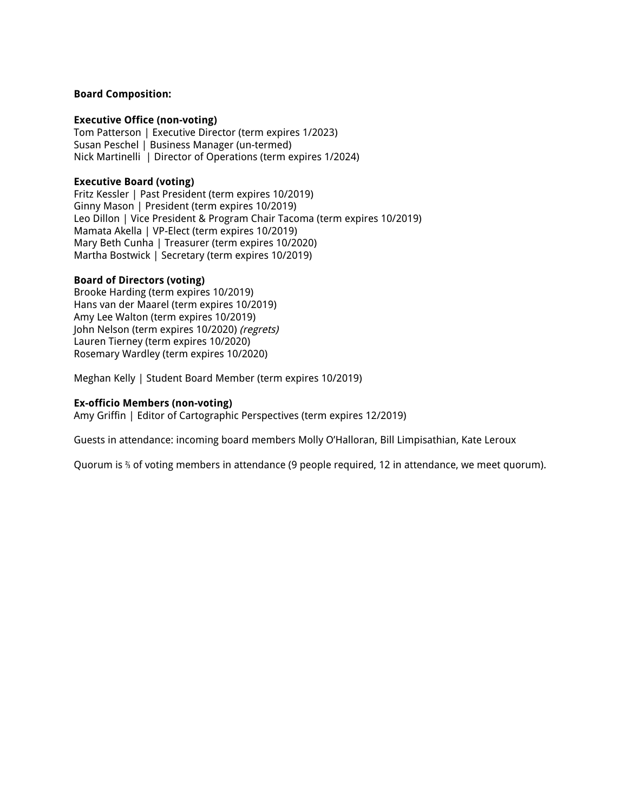#### **Board Composition:**

#### **Executive Office (non-voting)**

Tom Patterson | Executive Director (term expires 1/2023) Susan Peschel | Business Manager (un-termed) Nick Martinelli | Director of Operations (term expires 1/2024)

#### **Executive Board (voting)**

Fritz Kessler | Past President (term expires 10/2019) Ginny Mason | President (term expires 10/2019) Leo Dillon | Vice President & Program Chair Tacoma (term expires 10/2019) Mamata Akella | VP-Elect (term expires 10/2019) Mary Beth Cunha | Treasurer (term expires 10/2020) Martha Bostwick | Secretary (term expires 10/2019)

#### **Board of Directors (voting)**

Brooke Harding (term expires 10/2019) Hans van der Maarel (term expires 10/2019) Amy Lee Walton (term expires 10/2019) John Nelson (term expires 10/2020) (regrets) Lauren Tierney (term expires 10/2020) Rosemary Wardley (term expires 10/2020)

Meghan Kelly | Student Board Member (term expires 10/2019)

#### **Ex-officio Members (non-voting)**

Amy Griffin | Editor of Cartographic Perspectives (term expires 12/2019)

Guests in attendance: incoming board members Molly O'Halloran, Bill Limpisathian, Kate Leroux

Quorum is ⅔ of voting members in attendance (9 people required, 12 in attendance, we meet quorum).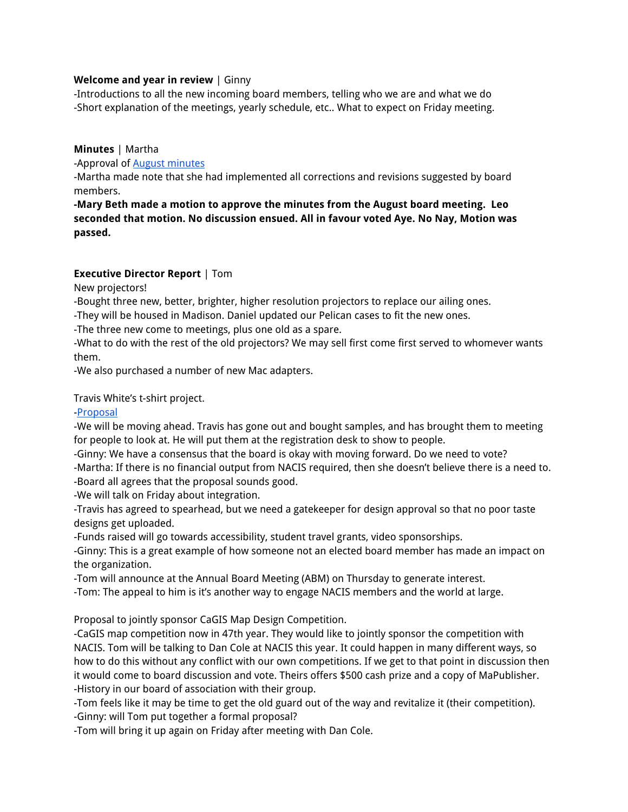### **Welcome and year in review** | Ginny

-Introductions to all the new incoming board members, telling who we are and what we do -Short explanation of the meetings, yearly schedule, etc.. What to expect on Friday meeting.

## **Minutes** | Martha

-Approval of **August [minutes](https://docs.google.com/document/d/1hqYK-oxdEOp28KzNcEpnaVwqd8G3rMLd9-aSia6mEzI/edit)** 

-Martha made note that she had implemented all corrections and revisions suggested by board members.

**-Mary Beth made a motion to approve the minutes from the August board meeting. Leo seconded that motion. No discussion ensued. All in favour voted Aye. No Nay, Motion was passed.**

## **Executive Director Report** | Tom

New projectors!

-Bought three new, better, brighter, higher resolution projectors to replace our ailing ones.

-They will be housed in Madison. Daniel updated our Pelican cases to fit the new ones.

-The three new come to meetings, plus one old as a spare.

-What to do with the rest of the old projectors? We may sell first come first served to whomever wants them.

-We also purchased a number of new Mac adapters.

Travis White's t-shirt project.

## [-Proposal](http://www.shadedrelief.com/tom/NACIS_t-shirt_store_proposal.pdf)

-We will be moving ahead. Travis has gone out and bought samples, and has brought them to meeting for people to look at. He will put them at the registration desk to show to people.

-Ginny: We have a consensus that the board is okay with moving forward. Do we need to vote?

-Martha: If there is no financial output from NACIS required, then she doesn't believe there is a need to. -Board all agrees that the proposal sounds good.

-We will talk on Friday about integration.

-Travis has agreed to spearhead, but we need a gatekeeper for design approval so that no poor taste designs get uploaded.

-Funds raised will go towards accessibility, student travel grants, video sponsorships.

-Ginny: This is a great example of how someone not an elected board member has made an impact on the organization.

-Tom will announce at the Annual Board Meeting (ABM) on Thursday to generate interest.

-Tom: The appeal to him is it's another way to engage NACIS members and the world at large.

Proposal to jointly sponsor CaGIS Map Design Competition.

-CaGIS map competition now in 47th year. They would like to jointly sponsor the competition with NACIS. Tom will be talking to Dan Cole at NACIS this year. It could happen in many different ways, so how to do this without any conflict with our own competitions. If we get to that point in discussion then it would come to board discussion and vote. Theirs offers \$500 cash prize and a copy of MaPublisher. -History in our board of association with their group.

-Tom feels like it may be time to get the old guard out of the way and revitalize it (their competition). -Ginny: will Tom put together a formal proposal?

-Tom will bring it up again on Friday after meeting with Dan Cole.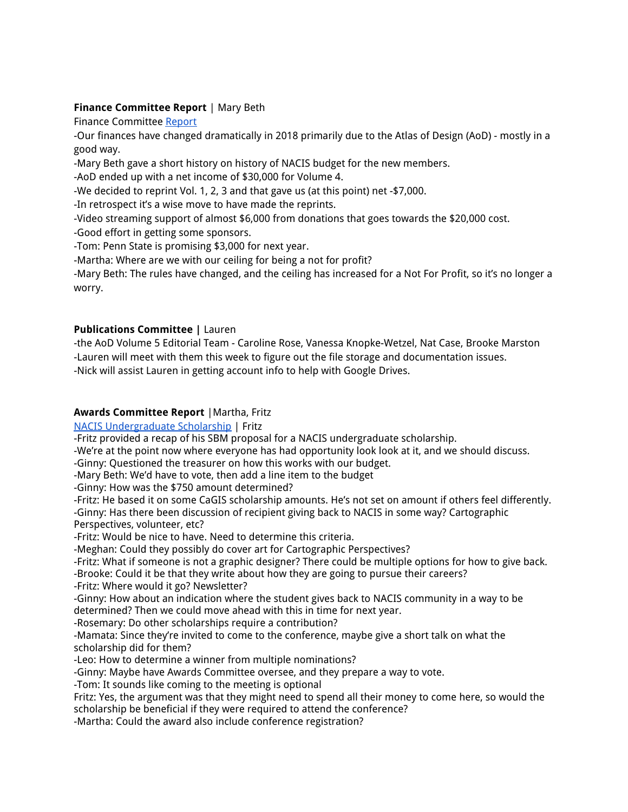# **Finance Committee Report** | Mary Beth

Finance Committee [Report](https://drive.google.com/open?id=1Bqzm0oQDlry5a6dTB_b21e4GkUluelMa)

-Our finances have changed dramatically in 2018 primarily due to the Atlas of Design (AoD) - mostly in a good way.

-Mary Beth gave a short history on history of NACIS budget for the new members.

-AoD ended up with a net income of \$30,000 for Volume 4.

-We decided to reprint Vol. 1, 2, 3 and that gave us (at this point) net -\$7,000.

-In retrospect it's a wise move to have made the reprints.

-Video streaming support of almost \$6,000 from donations that goes towards the \$20,000 cost.

-Good effort in getting some sponsors.

-Tom: Penn State is promising \$3,000 for next year.

-Martha: Where are we with our ceiling for being a not for profit?

-Mary Beth: The rules have changed, and the ceiling has increased for a Not For Profit, so it's no longer a worry.

## **Publications Committee |** Lauren

-the AoD Volume 5 Editorial Team - Caroline Rose, Vanessa Knopke-Wetzel, Nat Case, Brooke Marston -Lauren will meet with them this week to figure out the file storage and documentation issues.

-Nick will assist Lauren in getting account info to help with Google Drives.

# **Awards Committee Report** |Martha, Fritz

NACIS [Undergraduate](https://docs.google.com/document/d/1X8zHTGQgfAOJIDZNkEFnAtauPB9H7v-eKWUUNOI3Blo/edit) Scholarship | Fritz

-Fritz provided a recap of his SBM proposal for a NACIS undergraduate scholarship.

-We're at the point now where everyone has had opportunity look look at it, and we should discuss.

-Ginny: Questioned the treasurer on how this works with our budget.

-Mary Beth: We'd have to vote, then add a line item to the budget

-Ginny: How was the \$750 amount determined?

-Fritz: He based it on some CaGIS scholarship amounts. He's not set on amount if others feel differently. -Ginny: Has there been discussion of recipient giving back to NACIS in some way? Cartographic Perspectives, volunteer, etc?

-Fritz: Would be nice to have. Need to determine this criteria.

-Meghan: Could they possibly do cover art for Cartographic Perspectives?

-Fritz: What if someone is not a graphic designer? There could be multiple options for how to give back.

-Brooke: Could it be that they write about how they are going to pursue their careers?

-Fritz: Where would it go? Newsletter?

-Ginny: How about an indication where the student gives back to NACIS community in a way to be determined? Then we could move ahead with this in time for next year.

-Rosemary: Do other scholarships require a contribution?

-Mamata: Since they're invited to come to the conference, maybe give a short talk on what the scholarship did for them?

-Leo: How to determine a winner from multiple nominations?

-Ginny: Maybe have Awards Committee oversee, and they prepare a way to vote.

-Tom: It sounds like coming to the meeting is optional

Fritz: Yes, the argument was that they might need to spend all their money to come here, so would the scholarship be beneficial if they were required to attend the conference?

-Martha: Could the award also include conference registration?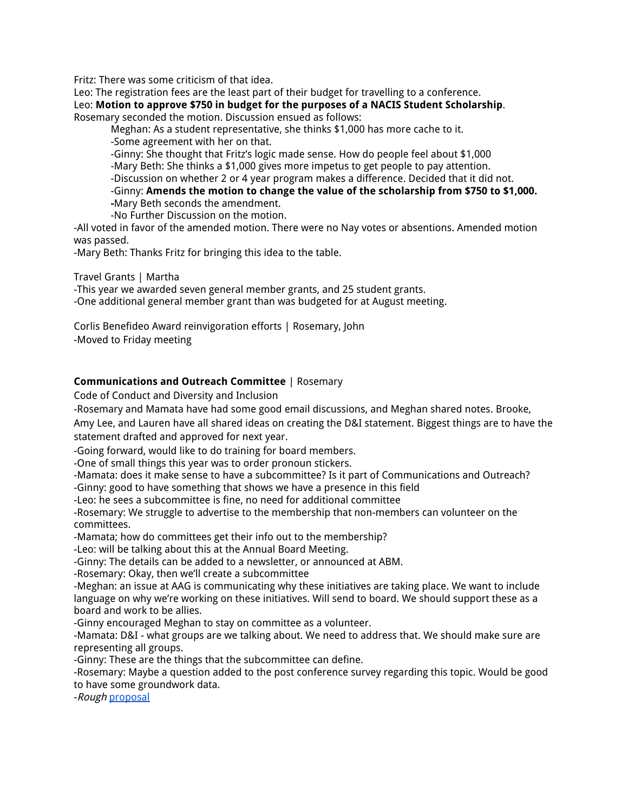Fritz: There was some criticism of that idea.

Leo: The registration fees are the least part of their budget for travelling to a conference. Leo: **Motion to approve \$750 in budget for the purposes of a NACIS Student Scholarship**. Rosemary seconded the motion. Discussion ensued as follows:

Meghan: As a student representative, she thinks \$1,000 has more cache to it. -Some agreement with her on that.

-Ginny: She thought that Fritz's logic made sense. How do people feel about \$1,000 -Mary Beth: She thinks a \$1,000 gives more impetus to get people to pay attention. -Discussion on whether 2 or 4 year program makes a difference. Decided that it did not. -Ginny: **Amends the motion to change the value of the scholarship from \$750 to \$1,000. -**Mary Beth seconds the amendment.

-No Further Discussion on the motion.

-All voted in favor of the amended motion. There were no Nay votes or absentions. Amended motion was passed.

-Mary Beth: Thanks Fritz for bringing this idea to the table.

Travel Grants | Martha

-This year we awarded seven general member grants, and 25 student grants. -One additional general member grant than was budgeted for at August meeting.

Corlis Benefideo Award reinvigoration efforts | Rosemary, John

-Moved to Friday meeting

## **Communications and Outreach Committee** | Rosemary

Code of Conduct and Diversity and Inclusion

-Rosemary and Mamata have had some good email discussions, and Meghan shared notes. Brooke, Amy Lee, and Lauren have all shared ideas on creating the D&I statement. Biggest things are to have the statement drafted and approved for next year.

-Going forward, would like to do training for board members.

-One of small things this year was to order pronoun stickers.

-Mamata: does it make sense to have a subcommittee? Is it part of Communications and Outreach? -Ginny: good to have something that shows we have a presence in this field

-Leo: he sees a subcommittee is fine, no need for additional committee

-Rosemary: We struggle to advertise to the membership that non-members can volunteer on the committees.

-Mamata; how do committees get their info out to the membership?

-Leo: will be talking about this at the Annual Board Meeting.

-Ginny: The details can be added to a newsletter, or announced at ABM.

-Rosemary: Okay, then we'll create a subcommittee

-Meghan: an issue at AAG is communicating why these initiatives are taking place. We want to include language on why we're working on these initiatives. Will send to board. We should support these as a board and work to be allies.

-Ginny encouraged Meghan to stay on committee as a volunteer.

-Mamata: D&I - what groups are we talking about. We need to address that. We should make sure are representing all groups.

-Ginny: These are the things that the subcommittee can define.

-Rosemary: Maybe a question added to the post conference survey regarding this topic. Would be good to have some groundwork data.

-Rough [proposal](https://docs.google.com/document/d/1s-WzncGPNQlzzDr1APYE6GD3lro_kpU5kFRfbOOjXJM/edit?usp=sharing)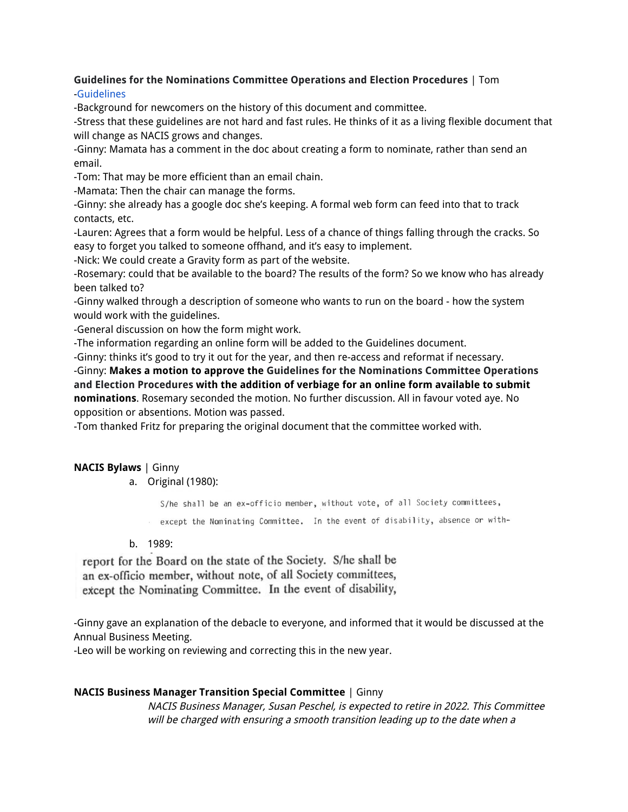# **Guidelines for the Nominations Committee Operations and Election Procedures** | Tom

# [-Guidelines](https://docs.google.com/document/d/13iOY8eaaAtHDUaSOFYAaJEk2FrAEDlWmRoitRk0Bitw/edit?usp=sharing)

-Background for newcomers on the history of this document and committee.

-Stress that these guidelines are not hard and fast rules. He thinks of it as a living flexible document that will change as NACIS grows and changes.

-Ginny: Mamata has a comment in the doc about creating a form to nominate, rather than send an email.

-Tom: That may be more efficient than an email chain.

-Mamata: Then the chair can manage the forms.

-Ginny: she already has a google doc she's keeping. A formal web form can feed into that to track contacts, etc.

-Lauren: Agrees that a form would be helpful. Less of a chance of things falling through the cracks. So easy to forget you talked to someone offhand, and it's easy to implement.

-Nick: We could create a Gravity form as part of the website.

-Rosemary: could that be available to the board? The results of the form? So we know who has already been talked to?

-Ginny walked through a description of someone who wants to run on the board - how the system would work with the guidelines.

-General discussion on how the form might work.

-The information regarding an online form will be added to the Guidelines document.

-Ginny: thinks it's good to try it out for the year, and then re-access and reformat if necessary. -Ginny: **Makes a motion to approve the Guidelines for the Nominations Committee Operations and Election Procedures with the addition of verbiage for an online form available to submit nominations**. Rosemary seconded the motion. No further discussion. All in favour voted aye. No

opposition or absentions. Motion was passed.

-Tom thanked Fritz for preparing the original document that the committee worked with.

# **NACIS Bylaws** | Ginny

# a. Original (1980):

S/he shall be an ex-officio member, without vote, of all Society committees,

except the Nominating Committee. In the event of disability, absence or with-

# b. 1989:

report for the Board on the state of the Society. S/he shall be an ex-officio member, without note, of all Society committees, except the Nominating Committee. In the event of disability,

-Ginny gave an explanation of the debacle to everyone, and informed that it would be discussed at the Annual Business Meeting.

-Leo will be working on reviewing and correcting this in the new year.

# **NACIS Business Manager Transition Special Committee** | Ginny

NACIS Business Manager, Susan Peschel, is expected to retire in 2022. This Committee will be charged with ensuring <sup>a</sup> smooth transition leading up to the date when <sup>a</sup>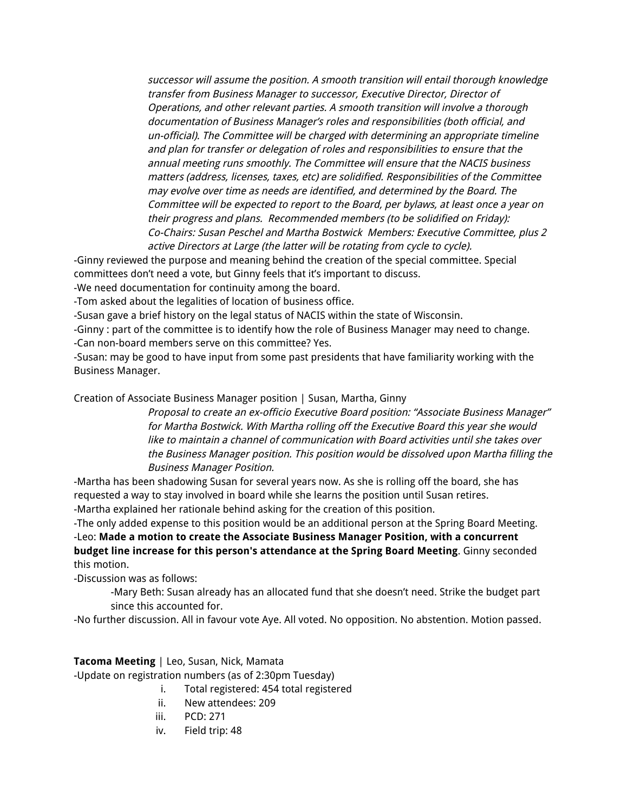successor will assume the position. A smooth transition will entail thorough knowledge transfer from Business Manager to successor, Executive Director, Director of Operations, and other relevant parties. A smooth transition will involve <sup>a</sup> thorough documentation of Business Manager's roles and responsibilities (both official, and un-official). The Committee will be charged with determining an appropriate timeline and plan for transfer or delegation of roles and responsibilities to ensure that the annual meeting runs smoothly. The Committee will ensure that the NACIS business matters (address, licenses, taxes, etc) are solidified. Responsibilities of the Committee may evolve over time as needs are identified, and determined by the Board. The Committee will be expected to report to the Board, per bylaws, at least once <sup>a</sup> year on their progress and plans. Recommended members (to be solidified on Friday): Co-Chairs: Susan Peschel and Martha Bostwick Members: Executive Committee, plus 2 active Directors at Large (the latter will be rotating from cycle to cycle).

-Ginny reviewed the purpose and meaning behind the creation of the special committee. Special committees don't need a vote, but Ginny feels that it's important to discuss.

-We need documentation for continuity among the board.

-Tom asked about the legalities of location of business office.

-Susan gave a brief history on the legal status of NACIS within the state of Wisconsin.

-Ginny : part of the committee is to identify how the role of Business Manager may need to change. -Can non-board members serve on this committee? Yes.

-Susan: may be good to have input from some past presidents that have familiarity working with the Business Manager.

Creation of Associate Business Manager position | Susan, Martha, Ginny

Proposal to create an ex-officio Executive Board position: "Associate Business Manager" for Martha Bostwick. With Martha rolling off the Executive Board this year she would like to maintain a channel of communication with Board activities until she takes over the Business Manager position. This position would be dissolved upon Martha filling the Business Manager Position.

-Martha has been shadowing Susan for several years now. As she is rolling off the board, she has requested a way to stay involved in board while she learns the position until Susan retires. -Martha explained her rationale behind asking for the creation of this position.

-The only added expense to this position would be an additional person at the Spring Board Meeting. -Leo: **Made a motion to create the Associate Business Manager Position, with a concurrent budget line increase for this person's attendance at the Spring Board Meeting**. Ginny seconded this motion.

-Discussion was as follows:

-Mary Beth: Susan already has an allocated fund that she doesn't need. Strike the budget part since this accounted for.

-No further discussion. All in favour vote Aye. All voted. No opposition. No abstention. Motion passed.

### **Tacoma Meeting** | Leo, Susan, Nick, Mamata

-Update on registration numbers (as of 2:30pm Tuesday)

- i. Total registered: 454 total registered
- ii. New attendees: 209
- iii. PCD: 271
- iv. Field trip: 48